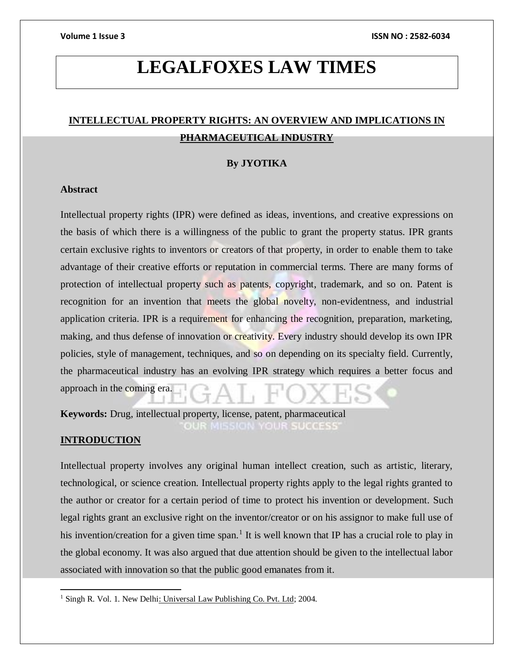# **LEGALFOXES LAW TIMES**

# **INTELLECTUAL PROPERTY RIGHTS: AN OVERVIEW AND IMPLICATIONS IN PHARMACEUTICAL INDUSTRY**

### **By JYOTIKA**

# **Abstract**

Intellectual property rights (IPR) were defined as ideas, inventions, and creative expressions on the basis of which there is a willingness of the public to grant the property status. IPR grants certain exclusive rights to inventors or creators of that property, in order to enable them to take advantage of their creative efforts or reputation in commercial terms. There are many forms of protection of intellectual property such as patents, copyright, trademark, and so on. Patent is recognition for an invention that meets the global novelty, non-evidentness, and industrial application criteria. IPR is a requirement for enhancing the recognition, preparation, marketing, making, and thus defense of innovation or creativity. Every industry should develop its own IPR policies, style of management, techniques, and so on depending on its specialty field. Currently, the pharmaceutical industry has an evolving IPR strategy which requires a better focus and approach in the coming era.

**Keywords:** Drug, intellectual property, license, patent, pharmaceutical **IISSION YOUR SUCCESS** 

# **INTRODUCTION**

 $\overline{a}$ 

Intellectual property involves any original human intellect creation, such as artistic, literary, technological, or science creation. Intellectual property rights apply to the legal rights granted to the author or creator for a certain period of time to protect his invention or development. Such legal rights grant an exclusive right on the inventor/creator or on his assignor to make full use of his invention/creation for a given time span.<sup>1</sup> It is well known that IP has a crucial role to play in the global economy. It was also argued that due attention should be given to the intellectual labor associated with innovation so that the public good emanates from it.

<sup>&</sup>lt;sup>1</sup> Singh R. Vol. 1. New Delhi: Universal Law Publishing Co. Pvt. Ltd; 2004.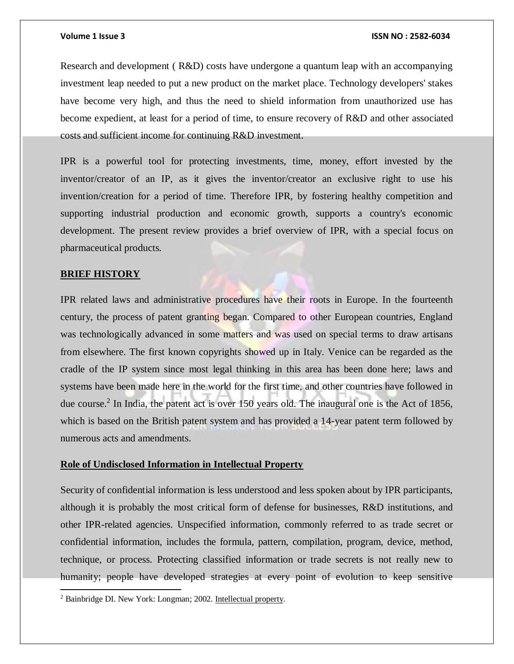Research and development ( R&D) costs have undergone a quantum leap with an accompanying investment leap needed to put a new product on the market place. Technology developers' stakes have become very high, and thus the need to shield information from unauthorized use has become expedient, at least for a period of time, to ensure recovery of R&D and other associated costs and sufficient income for continuing R&D investment.

IPR is a powerful tool for protecting investments, time, money, effort invested by the inventor/creator of an IP, as it gives the inventor/creator an exclusive right to use his invention/creation for a period of time. Therefore IPR, by fostering healthy competition and supporting industrial production and economic growth, supports a country's economic development. The present review provides a brief overview of IPR, with a special focus on pharmaceutical products.

### **BRIEF HISTORY**

 $\overline{a}$ 

IPR related laws and administrative procedures have their roots in Europe. In the fourteenth century, the process of patent granting began. Compared to other European countries, England was technologically advanced in some matters and was used on special terms to draw artisans from elsewhere. The first known copyrights showed up in Italy. Venice can be regarded as the cradle of the IP system since most legal thinking in this area has been done here; laws and systems have been made here in the world for the first time, and other countries have followed in due course.<sup>2</sup> In India, the patent act is over 150 years old. The inaugural one is the Act of 1856, which is based on the British patent system and has provided a 14-year patent term followed by numerous acts and amendments.

### **Role of Undisclosed Information in Intellectual Property**

Security of confidential information is less understood and less spoken about by IPR participants, although it is probably the most critical form of defense for businesses, R&D institutions, and other IPR-related agencies. Unspecified information, commonly referred to as trade secret or confidential information, includes the formula, pattern, compilation, program, device, method, technique, or process. Protecting classified information or trade secrets is not really new to humanity; people have developed strategies at every point of evolution to keep sensitive

<sup>2</sup> Bainbridge DI. New York: Longman; 2002. Intellectual property.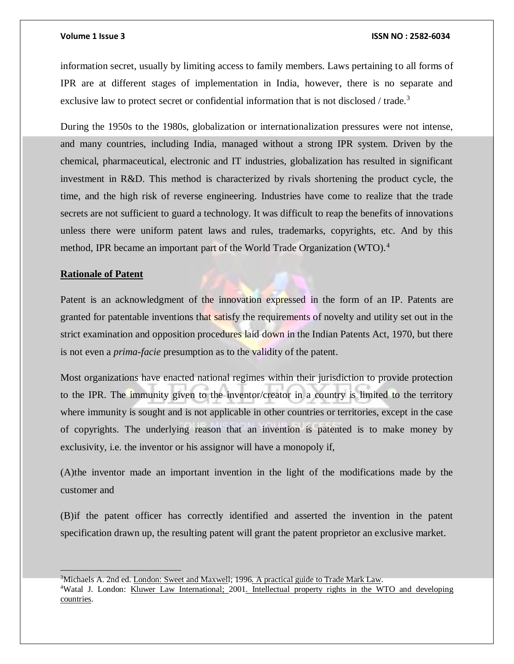information secret, usually by limiting access to family members. Laws pertaining to all forms of IPR are at different stages of implementation in India, however, there is no separate and exclusive law to protect secret or confidential information that is not disclosed / trade.<sup>3</sup>

During the 1950s to the 1980s, globalization or internationalization pressures were not intense, and many countries, including India, managed without a strong IPR system. Driven by the chemical, pharmaceutical, electronic and IT industries, globalization has resulted in significant investment in R&D. This method is characterized by rivals shortening the product cycle, the time, and the high risk of reverse engineering. Industries have come to realize that the trade secrets are not sufficient to guard a technology. It was difficult to reap the benefits of innovations unless there were uniform patent laws and rules, trademarks, copyrights, etc. And by this method, IPR became an important part of the World Trade Organization (WTO).<sup>4</sup>

### **Rationale of Patent**

Patent is an acknowledgment of the innovation expressed in the form of an IP. Patents are granted for patentable inventions that satisfy the requirements of novelty and utility set out in the strict examination and opposition procedures laid down in the Indian Patents Act, 1970, but there is not even a *prima-facie* presumption as to the validity of the patent.

Most organizations have enacted national regimes within their jurisdiction to provide protection to the IPR. The immunity given to the inventor/creator in a country is limited to the territory where immunity is sought and is not applicable in other countries or territories, except in the case of copyrights. The underlying reason that an invention is patented is to make money by exclusivity, i.e. the inventor or his assignor will have a monopoly if,

(A)the inventor made an important invention in the light of the modifications made by the customer and

(B)if the patent officer has correctly identified and asserted the invention in the patent specification drawn up, the resulting patent will grant the patent proprietor an exclusive market.

<sup>3</sup>Michaels A. 2nd ed. London: Sweet and Maxwell; 1996. A practical guide to Trade Mark Law.

<sup>4</sup>Watal J. London: Kluwer Law International; 2001. Intellectual property rights in the WTO and developing countries.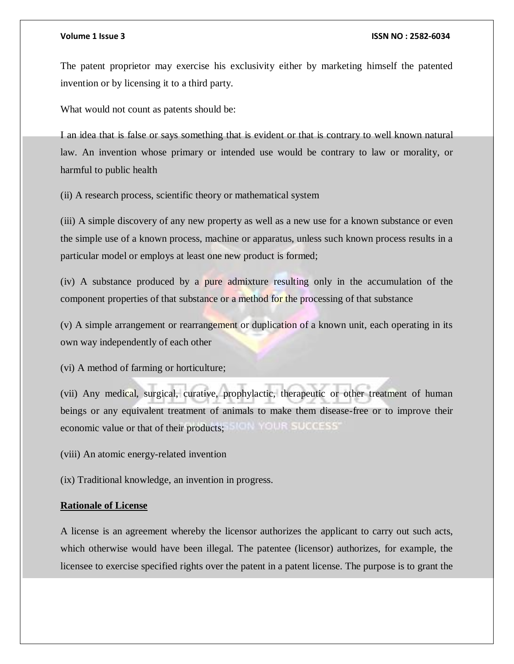The patent proprietor may exercise his exclusivity either by marketing himself the patented invention or by licensing it to a third party.

What would not count as patents should be:

I an idea that is false or says something that is evident or that is contrary to well known natural law. An invention whose primary or intended use would be contrary to law or morality, or harmful to public health

(ii) A research process, scientific theory or mathematical system

(iii) A simple discovery of any new property as well as a new use for a known substance or even the simple use of a known process, machine or apparatus, unless such known process results in a particular model or employs at least one new product is formed;

(iv) A substance produced by a pure admixture resulting only in the accumulation of the component properties of that substance or a method for the processing of that substance

(v) A simple arrangement or rearrangement or duplication of a known unit, each operating in its own way independently of each other

(vi) A method of farming or horticulture;

(vii) Any medical, surgical, curative, prophylactic, therapeutic or other treatment of human beings or any equivalent treatment of animals to make them disease-free or to improve their SION YOUR SUCCESS' economic value or that of their products;

(viii) An atomic energy-related invention

(ix) Traditional knowledge, an invention in progress.

### **Rationale of License**

A license is an agreement whereby the licensor authorizes the applicant to carry out such acts, which otherwise would have been illegal. The patentee (licensor) authorizes, for example, the licensee to exercise specified rights over the patent in a patent license. The purpose is to grant the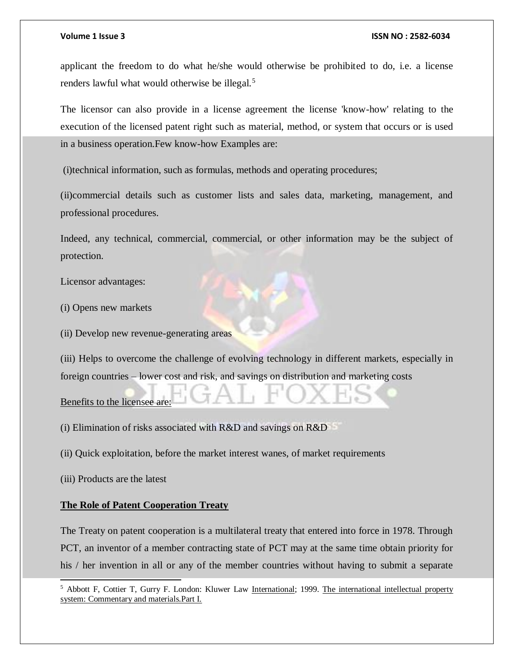applicant the freedom to do what he/she would otherwise be prohibited to do, i.e. a license renders lawful what would otherwise be illegal.<sup>5</sup>

The licensor can also provide in a license agreement the license 'know-how' relating to the execution of the licensed patent right such as material, method, or system that occurs or is used in a business operation.Few know-how Examples are:

(i)technical information, such as formulas, methods and operating procedures;

(ii)commercial details such as customer lists and sales data, marketing, management, and professional procedures.

Indeed, any technical, commercial, commercial, or other information may be the subject of protection.

Licensor advantages:

(i) Opens new markets

(ii) Develop new revenue-generating areas

(iii) Helps to overcome the challenge of evolving technology in different markets, especially in foreign countries – lower cost and risk, and savings on distribution and marketing costs

Benefits to the licensee are:

(i) Elimination of risks associated with R&D and savings on R&D

(ii) Quick exploitation, before the market interest wanes, of market requirements

(iii) Products are the latest

l

### **The Role of Patent Cooperation Treaty**

The Treaty on patent cooperation is a multilateral treaty that entered into force in 1978. Through PCT, an inventor of a member contracting state of PCT may at the same time obtain priority for his / her invention in all or any of the member countries without having to submit a separate

<sup>&</sup>lt;sup>5</sup> Abbott F, Cottier T, Gurry F. London: Kluwer Law International; 1999. The international intellectual property system: Commentary and materials.Part I.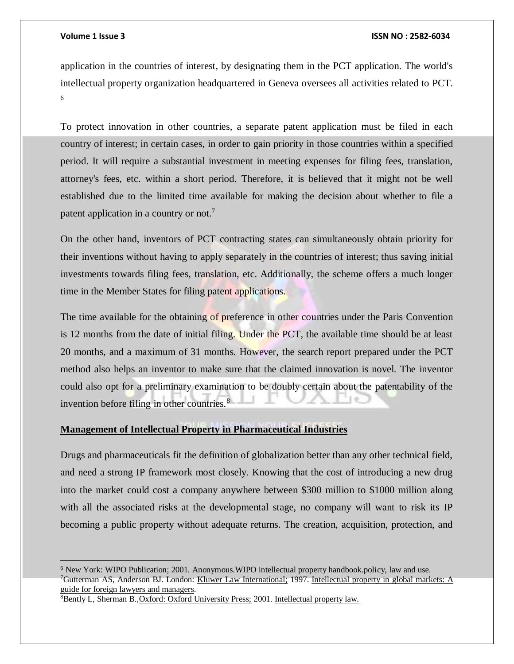### **Volume 1 Issue 3 ISSN NO : 2582-6034**

application in the countries of interest, by designating them in the PCT application. The world's intellectual property organization headquartered in Geneva oversees all activities related to PCT. 6

To protect innovation in other countries, a separate patent application must be filed in each country of interest; in certain cases, in order to gain priority in those countries within a specified period. It will require a substantial investment in meeting expenses for filing fees, translation, attorney's fees, etc. within a short period. Therefore, it is believed that it might not be well established due to the limited time available for making the decision about whether to file a patent application in a country or not.<sup>7</sup>

On the other hand, inventors of PCT contracting states can simultaneously obtain priority for their inventions without having to apply separately in the countries of interest; thus saving initial investments towards filing fees, translation, etc. Additionally, the scheme offers a much longer time in the Member States for filing patent applications.

The time available for the obtaining of preference in other countries under the Paris Convention is 12 months from the date of initial filing. Under the PCT, the available time should be at least 20 months, and a maximum of 31 months. However, the search report prepared under the PCT method also helps an inventor to make sure that the claimed innovation is novel. The inventor could also opt for a preliminary examination to be doubly certain about the patentability of the invention before filing in other countries.<sup>8</sup>

# **Management of Intellectual Property in Pharmaceutical Industries**

Drugs and pharmaceuticals fit the definition of globalization better than any other technical field, and need a strong IP framework most closely. Knowing that the cost of introducing a new drug into the market could cost a company anywhere between \$300 million to \$1000 million along with all the associated risks at the developmental stage, no company will want to risk its IP becoming a public property without adequate returns. The creation, acquisition, protection, and

<sup>6</sup> New York: WIPO Publication; 2001. Anonymous.WIPO intellectual property handbook.policy, law and use. <sup>7</sup>Gutterman AS, Anderson BJ. London: Kluwer Law International; 1997. Intellectual property in global markets: A guide for foreign lawyers and managers.

<sup>8</sup>Bently L, Sherman B.,Oxford: Oxford University Press; 2001. Intellectual property law.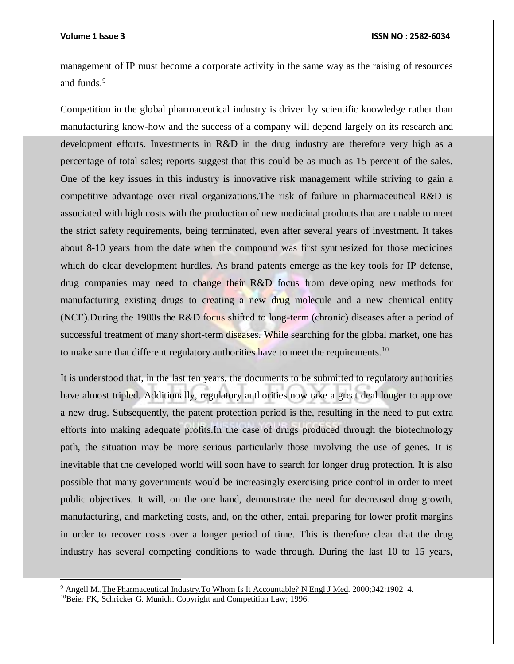management of IP must become a corporate activity in the same way as the raising of resources and funds.<sup>9</sup>

Competition in the global pharmaceutical industry is driven by scientific knowledge rather than manufacturing know-how and the success of a company will depend largely on its research and development efforts. Investments in R&D in the drug industry are therefore very high as a percentage of total sales; reports suggest that this could be as much as 15 percent of the sales. One of the key issues in this industry is innovative risk management while striving to gain a competitive advantage over rival organizations.The risk of failure in pharmaceutical R&D is associated with high costs with the production of new medicinal products that are unable to meet the strict safety requirements, being terminated, even after several years of investment. It takes about 8-10 years from the date when the compound was first synthesized for those medicines which do clear development hurdles. As brand patents emerge as the key tools for IP defense, drug companies may need to change their R&D focus from developing new methods for manufacturing existing drugs to creating a new drug molecule and a new chemical entity (NCE).During the 1980s the R&D focus shifted to long-term (chronic) diseases after a period of successful treatment of many short-term diseases. While searching for the global market, one has to make sure that different regulatory authorities have to meet the requirements.<sup>10</sup>

It is understood that, in the last ten years, the documents to be submitted to regulatory authorities have almost tripled. Additionally, regulatory authorities now take a great deal longer to approve a new drug. Subsequently, the patent protection period is the, resulting in the need to put extra efforts into making adequate profits.In the case of drugs produced through the biotechnology path, the situation may be more serious particularly those involving the use of genes. It is inevitable that the developed world will soon have to search for longer drug protection. It is also possible that many governments would be increasingly exercising price control in order to meet public objectives. It will, on the one hand, demonstrate the need for decreased drug growth, manufacturing, and marketing costs, and, on the other, entail preparing for lower profit margins in order to recover costs over a longer period of time. This is therefore clear that the drug industry has several competing conditions to wade through. During the last 10 to 15 years,

l

<sup>9</sup> Angell M.,The Pharmaceutical Industry.To Whom Is It Accountable? N Engl J Med. 2000;342:1902–4.

<sup>&</sup>lt;sup>10</sup>Beier FK, Schricker G. Munich: Copyright and Competition Law; 1996.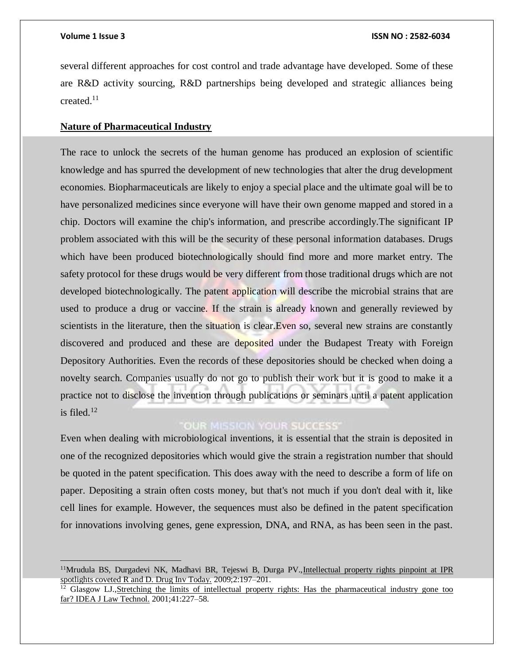several different approaches for cost control and trade advantage have developed. Some of these are R&D activity sourcing, R&D partnerships being developed and strategic alliances being created.<sup>11</sup>

### **Nature of Pharmaceutical Industry**

The race to unlock the secrets of the human genome has produced an explosion of scientific knowledge and has spurred the development of new technologies that alter the drug development economies. Biopharmaceuticals are likely to enjoy a special place and the ultimate goal will be to have personalized medicines since everyone will have their own genome mapped and stored in a chip. Doctors will examine the chip's information, and prescribe accordingly.The significant IP problem associated with this will be the security of these personal information databases. Drugs which have been produced biotechnologically should find more and more market entry. The safety protocol for these drugs would be very different from those traditional drugs which are not developed biotechnologically. The patent application will describe the microbial strains that are used to produce a drug or vaccine. If the strain is already known and generally reviewed by scientists in the literature, then the situation is clear. Even so, several new strains are constantly discovered and produced and these are deposited under the Budapest Treaty with Foreign Depository Authorities. Even the records of these depositories should be checked when doing a novelty search. Companies usually do not go to publish their work but it is good to make it a practice not to disclose the invention through publications or seminars until a patent application is filed. $12$ 

# **OUR MISSION YOUR SUCCESS'**

Even when dealing with microbiological inventions, it is essential that the strain is deposited in one of the recognized depositories which would give the strain a registration number that should be quoted in the patent specification. This does away with the need to describe a form of life on paper. Depositing a strain often costs money, but that's not much if you don't deal with it, like cell lines for example. However, the sequences must also be defined in the patent specification for innovations involving genes, gene expression, DNA, and RNA, as has been seen in the past.

<sup>&</sup>lt;sup>11</sup>Mrudula BS, Durgadevi NK, Madhavi BR, Tejeswi B, Durga PV., Intellectual property rights pinpoint at IPR spotlights coveted R and D. Drug Inv Today. 2009;2:197–201.

<sup>&</sup>lt;sup>12</sup> Glasgow LJ., Stretching the limits of intellectual property rights: Has the pharmaceutical industry gone too far? IDEA J Law Technol. 2001;41:227–58.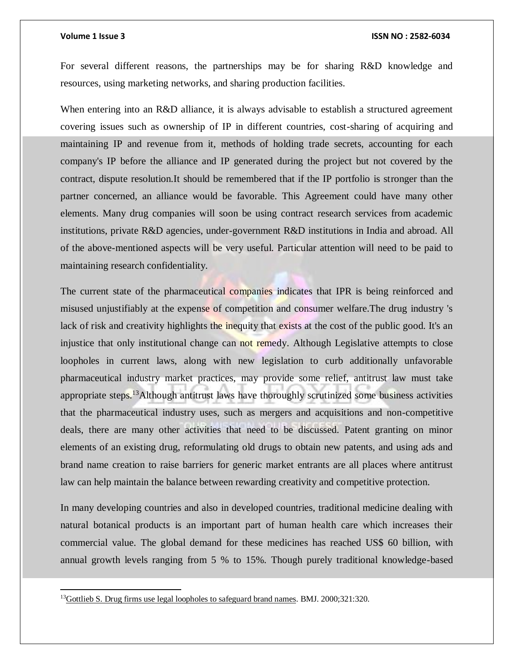$\overline{a}$ 

#### **Volume 1 Issue 3 ISSN NO : 2582-6034**

For several different reasons, the partnerships may be for sharing R&D knowledge and resources, using marketing networks, and sharing production facilities.

When entering into an R&D alliance, it is always advisable to establish a structured agreement covering issues such as ownership of IP in different countries, cost-sharing of acquiring and maintaining IP and revenue from it, methods of holding trade secrets, accounting for each company's IP before the alliance and IP generated during the project but not covered by the contract, dispute resolution.It should be remembered that if the IP portfolio is stronger than the partner concerned, an alliance would be favorable. This Agreement could have many other elements. Many drug companies will soon be using contract research services from academic institutions, private R&D agencies, under-government R&D institutions in India and abroad. All of the above-mentioned aspects will be very useful. Particular attention will need to be paid to maintaining research confidentiality.

The current state of the pharmaceutical companies indicates that IPR is being reinforced and misused unjustifiably at the expense of competition and consumer welfare.The drug industry 's lack of risk and creativity highlights the inequity that exists at the cost of the public good. It's an injustice that only institutional change can not remedy. Although Legislative attempts to close loopholes in current laws, along with new legislation to curb additionally unfavorable pharmaceutical industry market practices, may provide some relief, antitrust law must take appropriate steps.<sup>13</sup>Although antitrust laws have thoroughly scrutinized some business activities that the pharmaceutical industry uses, such as mergers and acquisitions and non-competitive deals, there are many other activities that need to be discussed. Patent granting on minor elements of an existing drug, reformulating old drugs to obtain new patents, and using ads and brand name creation to raise barriers for generic market entrants are all places where antitrust law can help maintain the balance between rewarding creativity and competitive protection.

In many developing countries and also in developed countries, traditional medicine dealing with natural botanical products is an important part of human health care which increases their commercial value. The global demand for these medicines has reached US\$ 60 billion, with annual growth levels ranging from 5 % to 15%. Though purely traditional knowledge-based

<sup>&</sup>lt;sup>13</sup>Gottlieb S. Drug firms use legal loopholes to safeguard brand names. BMJ. 2000;321:320.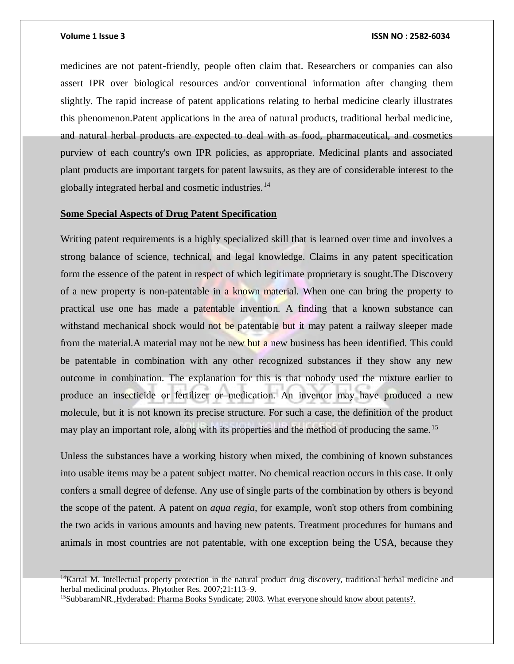#### **Volume 1 Issue 3 ISSN NO : 2582-6034**

medicines are not patent-friendly, people often claim that. Researchers or companies can also assert IPR over biological resources and/or conventional information after changing them slightly. The rapid increase of patent applications relating to herbal medicine clearly illustrates this phenomenon.Patent applications in the area of natural products, traditional herbal medicine, and natural herbal products are expected to deal with as food, pharmaceutical, and cosmetics purview of each country's own IPR policies, as appropriate. Medicinal plants and associated plant products are important targets for patent lawsuits, as they are of considerable interest to the globally integrated herbal and cosmetic industries.<sup>14</sup>

### **Some Special Aspects of Drug Patent Specification**

Writing patent requirements is a highly specialized skill that is learned over time and involves a strong balance of science, technical, and legal knowledge. Claims in any patent specification form the essence of the patent in respect of which legitimate proprietary is sought.The Discovery of a new property is non-patentable in a known material. When one can bring the property to practical use one has made a patentable invention. A finding that a known substance can withstand mechanical shock would not be patentable but it may patent a railway sleeper made from the material.A material may not be new but a new business has been identified. This could be patentable in combination with any other recognized substances if they show any new outcome in combination. The explanation for this is that nobody used the mixture earlier to produce an insecticide or fertilizer or medication. An inventor may have produced a new molecule, but it is not known its precise structure. For such a case, the definition of the product may play an important role, along with its properties and the method of producing the same.<sup>15</sup>

Unless the substances have a working history when mixed, the combining of known substances into usable items may be a patent subject matter. No chemical reaction occurs in this case. It only confers a small degree of defense. Any use of single parts of the combination by others is beyond the scope of the patent. A patent on *aqua regia*, for example, won't stop others from combining the two acids in various amounts and having new patents. Treatment procedures for humans and animals in most countries are not patentable, with one exception being the USA, because they

 $14$ Kartal M. Intellectual property protection in the natural product drug discovery, traditional herbal medicine and herbal medicinal products. Phytother Res. 2007;21:113–9.

<sup>&</sup>lt;sup>15</sup>SubbaramNR., Hyderabad: Pharma Books Syndicate; 2003. What everyone should know about patents?.